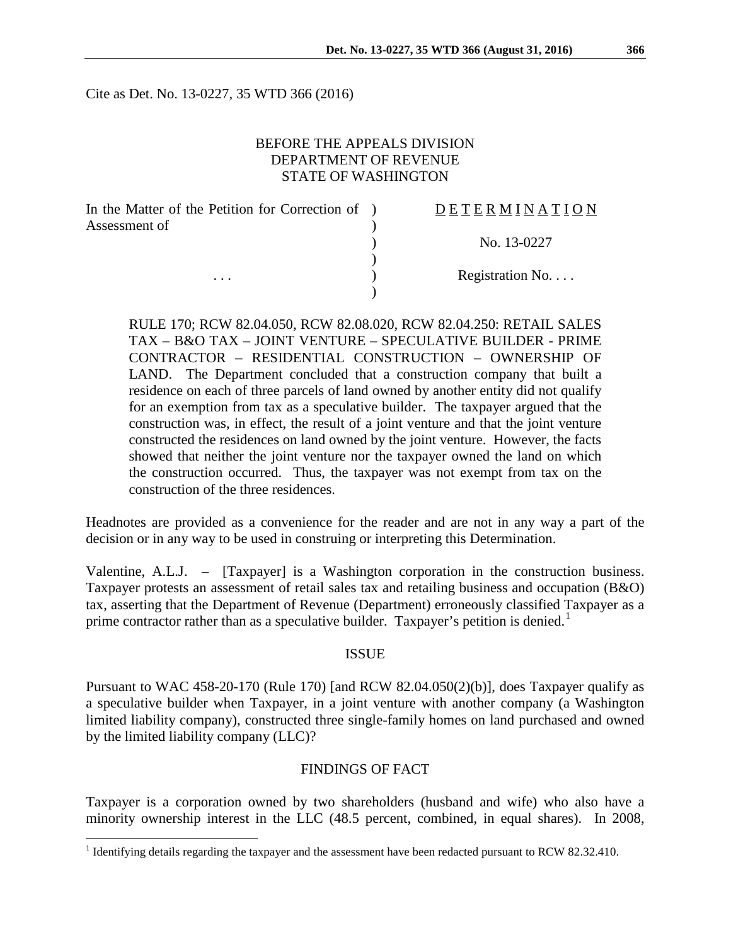Cite as Det. No. 13-0227, 35 WTD 366 (2016)

### BEFORE THE APPEALS DIVISION DEPARTMENT OF REVENUE STATE OF WASHINGTON

| In the Matter of the Petition for Correction of ) | <b>DETERMINATION</b>      |
|---------------------------------------------------|---------------------------|
| Assessment of                                     |                           |
|                                                   | No. 13-0227               |
|                                                   |                           |
| $\cdots$                                          | Registration $No. \ldots$ |
|                                                   |                           |

RULE 170; RCW 82.04.050, RCW 82.08.020, RCW 82.04.250: RETAIL SALES TAX – B&O TAX – JOINT VENTURE – SPECULATIVE BUILDER - PRIME CONTRACTOR – RESIDENTIAL CONSTRUCTION – OWNERSHIP OF LAND. The Department concluded that a construction company that built a residence on each of three parcels of land owned by another entity did not qualify for an exemption from tax as a speculative builder. The taxpayer argued that the construction was, in effect, the result of a joint venture and that the joint venture constructed the residences on land owned by the joint venture. However, the facts showed that neither the joint venture nor the taxpayer owned the land on which the construction occurred. Thus, the taxpayer was not exempt from tax on the construction of the three residences.

Headnotes are provided as a convenience for the reader and are not in any way a part of the decision or in any way to be used in construing or interpreting this Determination.

Valentine, A.L.J. – [Taxpayer] is a Washington corporation in the construction business. Taxpayer protests an assessment of retail sales tax and retailing business and occupation (B&O) tax, asserting that the Department of Revenue (Department) erroneously classified Taxpayer as a prime contractor rather than as a speculative builder. Taxpayer's petition is denied.<sup>[1](#page-0-0)</sup>

#### ISSUE

Pursuant to WAC 458-20-170 (Rule 170) [and RCW 82.04.050(2)(b)], does Taxpayer qualify as a speculative builder when Taxpayer, in a joint venture with another company (a Washington limited liability company), constructed three single-family homes on land purchased and owned by the limited liability company (LLC)?

### FINDINGS OF FACT

Taxpayer is a corporation owned by two shareholders (husband and wife) who also have a minority ownership interest in the LLC (48.5 percent, combined, in equal shares). In 2008,

<span id="page-0-0"></span><sup>&</sup>lt;sup>1</sup> Identifying details regarding the taxpayer and the assessment have been redacted pursuant to RCW 82.32.410.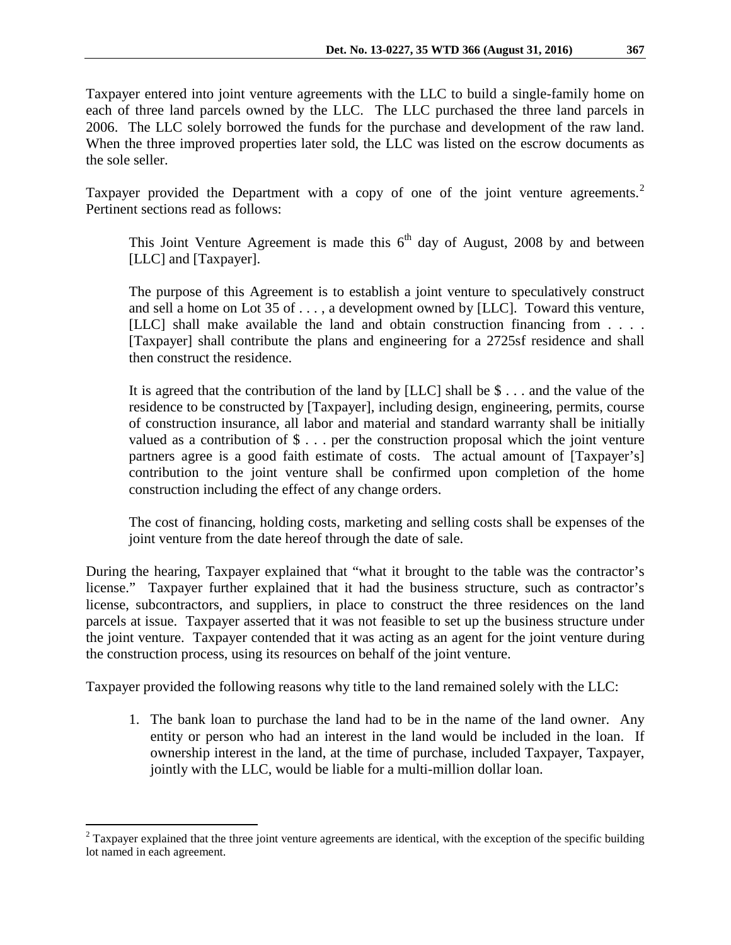Taxpayer entered into joint venture agreements with the LLC to build a single-family home on each of three land parcels owned by the LLC. The LLC purchased the three land parcels in 2006. The LLC solely borrowed the funds for the purchase and development of the raw land. When the three improved properties later sold, the LLC was listed on the escrow documents as the sole seller.

Taxpayer provided the Department with a copy of one of the joint venture agreements.<sup>[2](#page-1-0)</sup> Pertinent sections read as follows:

This Joint Venture Agreement is made this  $6<sup>th</sup>$  day of August, 2008 by and between [LLC] and [Taxpayer].

The purpose of this Agreement is to establish a joint venture to speculatively construct and sell a home on Lot 35 of . . . , a development owned by [LLC]. Toward this venture, [LLC] shall make available the land and obtain construction financing from . . . . [Taxpayer] shall contribute the plans and engineering for a 2725sf residence and shall then construct the residence.

It is agreed that the contribution of the land by  $[LLC]$  shall be \$ ... and the value of the residence to be constructed by [Taxpayer], including design, engineering, permits, course of construction insurance, all labor and material and standard warranty shall be initially valued as a contribution of  $\$\ldots\]$  per the construction proposal which the joint venture partners agree is a good faith estimate of costs. The actual amount of [Taxpayer's] contribution to the joint venture shall be confirmed upon completion of the home construction including the effect of any change orders.

The cost of financing, holding costs, marketing and selling costs shall be expenses of the joint venture from the date hereof through the date of sale.

During the hearing, Taxpayer explained that "what it brought to the table was the contractor's license." Taxpayer further explained that it had the business structure, such as contractor's license, subcontractors, and suppliers, in place to construct the three residences on the land parcels at issue. Taxpayer asserted that it was not feasible to set up the business structure under the joint venture. Taxpayer contended that it was acting as an agent for the joint venture during the construction process, using its resources on behalf of the joint venture.

Taxpayer provided the following reasons why title to the land remained solely with the LLC:

1. The bank loan to purchase the land had to be in the name of the land owner. Any entity or person who had an interest in the land would be included in the loan. If ownership interest in the land, at the time of purchase, included Taxpayer, Taxpayer, jointly with the LLC, would be liable for a multi-million dollar loan.

<span id="page-1-0"></span> $2$  Taxpayer explained that the three joint venture agreements are identical, with the exception of the specific building lot named in each agreement.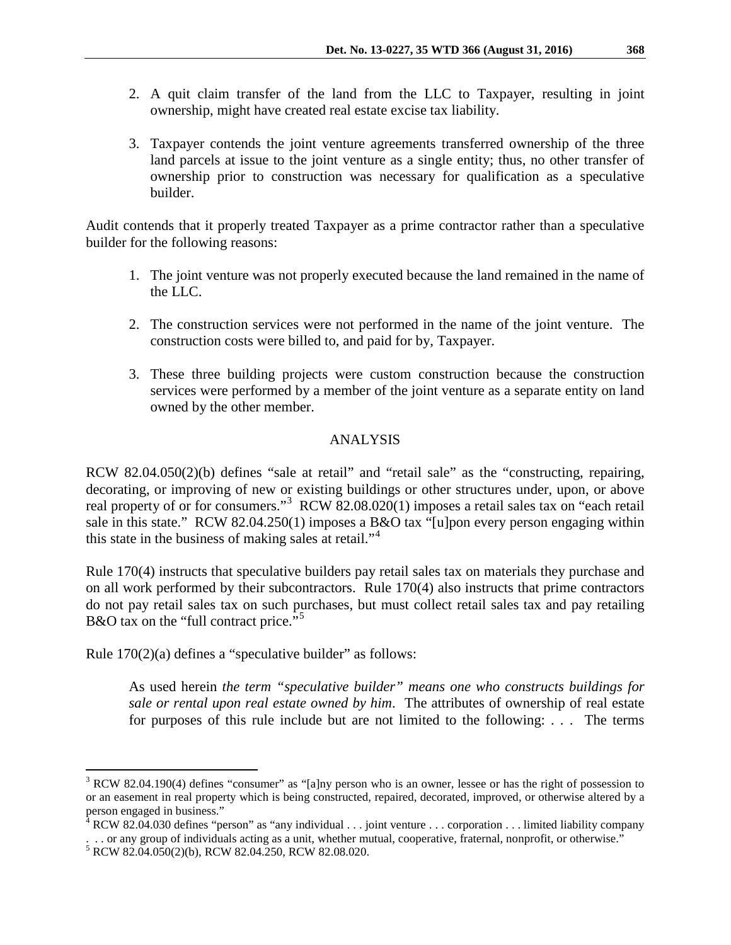- 2. A quit claim transfer of the land from the LLC to Taxpayer, resulting in joint ownership, might have created real estate excise tax liability.
- 3. Taxpayer contends the joint venture agreements transferred ownership of the three land parcels at issue to the joint venture as a single entity; thus, no other transfer of ownership prior to construction was necessary for qualification as a speculative builder.

Audit contends that it properly treated Taxpayer as a prime contractor rather than a speculative builder for the following reasons:

- 1. The joint venture was not properly executed because the land remained in the name of the LLC.
- 2. The construction services were not performed in the name of the joint venture. The construction costs were billed to, and paid for by, Taxpayer.
- 3. These three building projects were custom construction because the construction services were performed by a member of the joint venture as a separate entity on land owned by the other member.

# ANALYSIS

RCW 82.04.050(2)(b) defines "sale at retail" and "retail sale" as the "constructing, repairing, decorating, or improving of new or existing buildings or other structures under, upon, or above real property of or for consumers."<sup>[3](#page-2-0)</sup> RCW 82.08.020(1) imposes a retail sales tax on "each retail sale in this state." RCW 82.04.250(1) imposes a B&O tax "[u]pon every person engaging within this state in the business of making sales at retail."[4](#page-2-1)

Rule 170(4) instructs that speculative builders pay retail sales tax on materials they purchase and on all work performed by their subcontractors. Rule 170(4) also instructs that prime contractors do not pay retail sales tax on such purchases, but must collect retail sales tax and pay retailing B&O tax on the "full contract price."<sup>[5](#page-2-2)</sup>

Rule 170(2)(a) defines a "speculative builder" as follows:

As used herein *the term "speculative builder" means one who constructs buildings for sale or rental upon real estate owned by him*. The attributes of ownership of real estate for purposes of this rule include but are not limited to the following: . . . The terms

<span id="page-2-0"></span> $3$  RCW 82.04.190(4) defines "consumer" as "[a]ny person who is an owner, lessee or has the right of possession to or an easement in real property which is being constructed, repaired, decorated, improved, or otherwise altered by a person engaged in business."

<span id="page-2-1"></span> $4$  RCW 82.04.030 defines "person" as "any individual . . . joint venture . . . corporation . . . limited liability company . . . or any group of individuals acting as a unit, whether mutual, cooperative, fraternal, nonprofit, or otherwise."

<span id="page-2-2"></span><sup>5</sup> RCW 82.04.050(2)(b), RCW 82.04.250, RCW 82.08.020.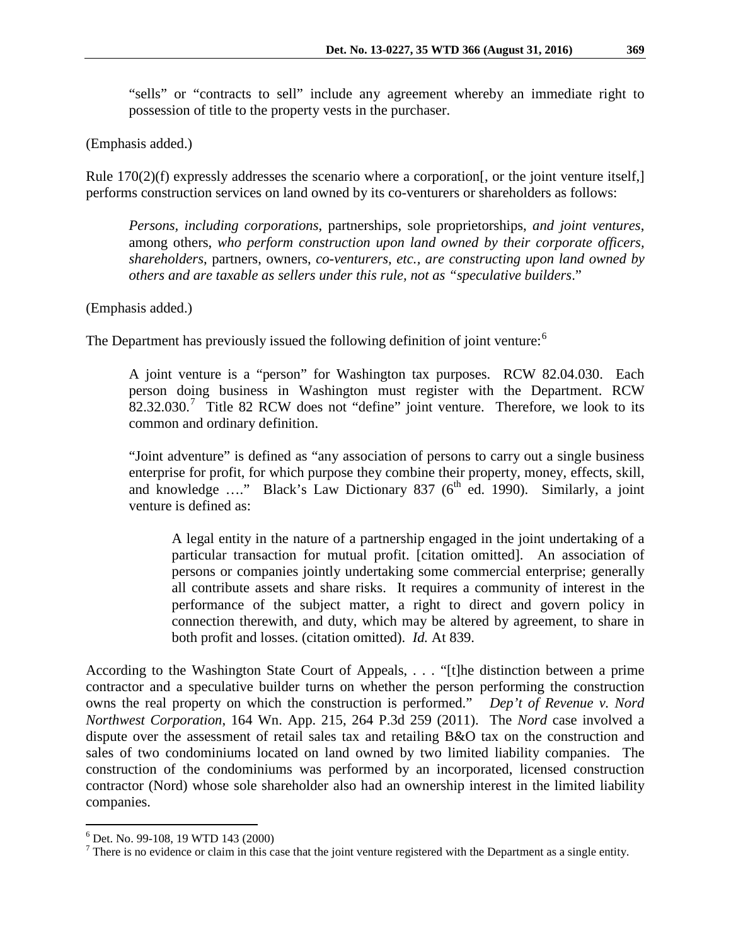"sells" or "contracts to sell" include any agreement whereby an immediate right to possession of title to the property vests in the purchaser.

(Emphasis added.)

Rule 170(2)(f) expressly addresses the scenario where a corporation [, or the joint venture itself,] performs construction services on land owned by its co-venturers or shareholders as follows:

*Persons, including corporations*, partnerships, sole proprietorships, *and joint ventures*, among others, *who perform construction upon land owned by their corporate officers, shareholders*, partners, owners, *co-venturers, etc., are constructing upon land owned by others and are taxable as sellers under this rule, not as "speculative builders*."

(Emphasis added.)

The Department has previously issued the following definition of joint venture:<sup>[6](#page-3-0)</sup>

A joint venture is a "person" for Washington tax purposes. RCW 82.04.030. Each person doing business in Washington must register with the Department. RCW  $82.32.030$ .<sup>[7](#page-3-1)</sup> Title 82 RCW does not "define" joint venture. Therefore, we look to its common and ordinary definition.

"Joint adventure" is defined as "any association of persons to carry out a single business enterprise for profit, for which purpose they combine their property, money, effects, skill, and knowledge  $\ldots$ ." Black's Law Dictionary 837 ( $6<sup>th</sup>$  ed. 1990). Similarly, a joint venture is defined as:

A legal entity in the nature of a partnership engaged in the joint undertaking of a particular transaction for mutual profit. [citation omitted]. An association of persons or companies jointly undertaking some commercial enterprise; generally all contribute assets and share risks. It requires a community of interest in the performance of the subject matter, a right to direct and govern policy in connection therewith, and duty, which may be altered by agreement, to share in both profit and losses. (citation omitted). *Id.* At 839.

According to the Washington State Court of Appeals, . . . "[t]he distinction between a prime contractor and a speculative builder turns on whether the person performing the construction owns the real property on which the construction is performed." *Dep't of Revenue v. Nord Northwest Corporation*, 164 Wn. App. 215, 264 P.3d 259 (2011). The *Nord* case involved a dispute over the assessment of retail sales tax and retailing B&O tax on the construction and sales of two condominiums located on land owned by two limited liability companies. The construction of the condominiums was performed by an incorporated, licensed construction contractor (Nord) whose sole shareholder also had an ownership interest in the limited liability companies.

<span id="page-3-1"></span><span id="page-3-0"></span><sup>&</sup>lt;sup>6</sup> Det. No. 99-108, 19 WTD 143 (2000)<br><sup>7</sup> There is no evidence or claim in this case that the joint venture registered with the Department as a single entity.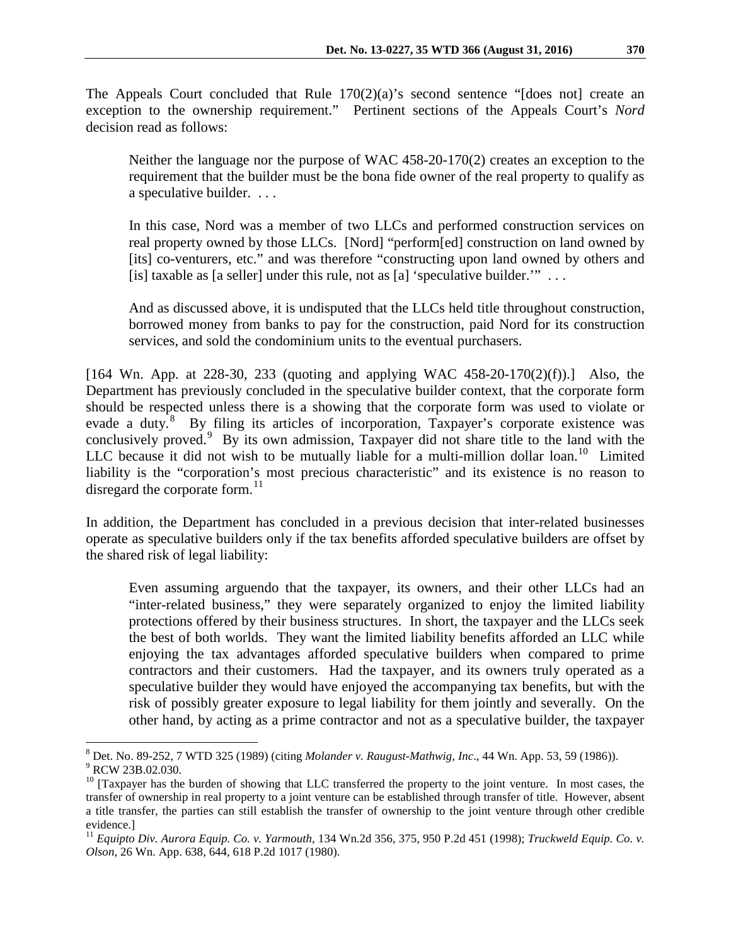The Appeals Court concluded that Rule 170(2)(a)'s second sentence "[does not] create an exception to the ownership requirement." Pertinent sections of the Appeals Court's *Nord* decision read as follows:

Neither the language nor the purpose of WAC 458-20-170(2) creates an exception to the requirement that the builder must be the bona fide owner of the real property to qualify as a speculative builder. . . .

In this case, Nord was a member of two LLCs and performed construction services on real property owned by those LLCs. [Nord] "perform[ed] construction on land owned by [its] co-venturers, etc." and was therefore "constructing upon land owned by others and [is] taxable as [a seller] under this rule, not as [a] 'speculative builder."  $\dots$ 

And as discussed above, it is undisputed that the LLCs held title throughout construction, borrowed money from banks to pay for the construction, paid Nord for its construction services, and sold the condominium units to the eventual purchasers.

[164 Wn. App. at 228-30, 233 (quoting and applying WAC 458-20-170(2)(f)).] Also, the Department has previously concluded in the speculative builder context, that the corporate form should be respected unless there is a showing that the corporate form was used to violate or evade a duty.<sup>[8](#page-4-0)</sup> By filing its articles of incorporation, Taxpayer's corporate existence was conclusively proved.<sup>[9](#page-4-1)</sup> By its own admission, Taxpayer did not share title to the land with the LLC because it did not wish to be mutually liable for a multi-million dollar loan.<sup>10</sup> Limited liability is the "corporation's most precious characteristic" and its existence is no reason to disregard the corporate form. $^{11}$ 

In addition, the Department has concluded in a previous decision that inter-related businesses operate as speculative builders only if the tax benefits afforded speculative builders are offset by the shared risk of legal liability:

Even assuming arguendo that the taxpayer, its owners, and their other LLCs had an "inter-related business," they were separately organized to enjoy the limited liability protections offered by their business structures. In short, the taxpayer and the LLCs seek the best of both worlds. They want the limited liability benefits afforded an LLC while enjoying the tax advantages afforded speculative builders when compared to prime contractors and their customers. Had the taxpayer, and its owners truly operated as a speculative builder they would have enjoyed the accompanying tax benefits, but with the risk of possibly greater exposure to legal liability for them jointly and severally. On the other hand, by acting as a prime contractor and not as a speculative builder, the taxpayer

<span id="page-4-0"></span><sup>8</sup> Det. No. 89-252, 7 WTD 325 (1989) (citing *Molander v. Raugust-Mathwig, Inc*., 44 Wn. App. 53, 59 (1986)). 9 RCW 23B.02.030.

<span id="page-4-2"></span><span id="page-4-1"></span> $10$  [Taxpayer has the burden of showing that LLC transferred the property to the joint venture. In most cases, the transfer of ownership in real property to a joint venture can be established through transfer of title. However, absent a title transfer, the parties can still establish the transfer of ownership to the joint venture through other credible evidence.]

<span id="page-4-3"></span><sup>11</sup> *Equipto Div. Aurora Equip. Co. v. Yarmouth*, 134 Wn.2d 356, 375, 950 P.2d 451 (1998); *Truckweld Equip. Co. v. Olson*, 26 Wn. App. 638, 644, 618 P.2d 1017 (1980).